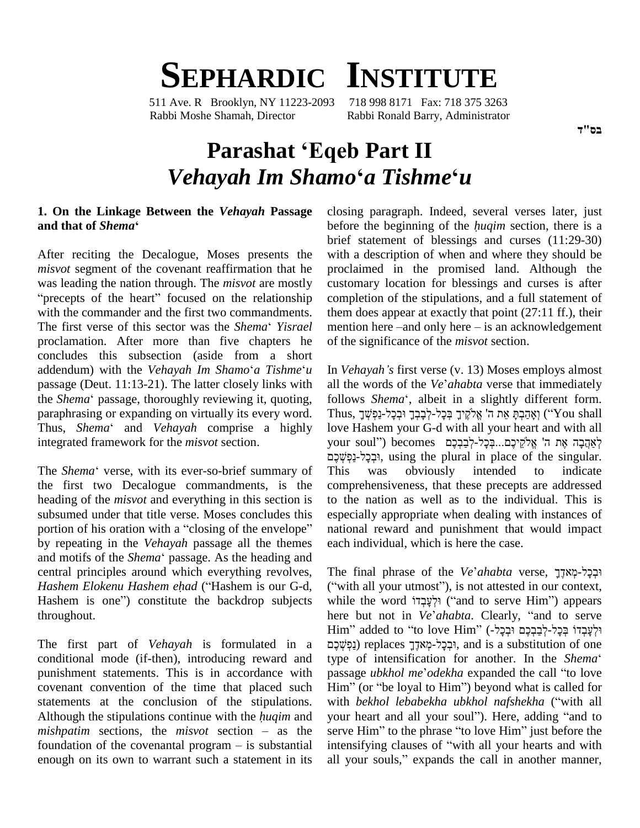# **SEPHARDIC INSTITUTE**

511 Ave. R Brooklyn, NY 11223-2093 718 998 8171 Fax: 718 375 3263 Rabbi Moshe Shamah, Director Rabbi Ronald Barry, Administrator

## **Parashat ëEqeb Part II** *Vehayah Im Shamo***ë***<sup>a</sup> Tishme***ë***<sup>u</sup>*

### **1. On the Linkage Between the** *Vehayah* **Passage** 1. On the Linkage Betw<br>and that of *Shema*'

After reciting the Decalogue, Moses presents the misvot segment of the covenant reaffirmation that he procl was leading the nation through. The *misvot* are mostly *xisvot* segment of the covenant reaffirmation that he proclar precepts of the heart" focused on the relationship complement with the commander and the first two commandments. "precepts of the heart" focused on the relationship cowith the commander and the first two commandments. the *Shema* '*Yisrael* m proclamation. After more than five chapters he concludes this subsection (aside from a short proclamation. After more than five chapters he of the concludes this subsection (aside from a short addendum) with the *Vehayah Im Shamo*<sup>e</sup> *a Tishme*<sup>*'u*</sup> In *Vehayah* passage (Deut. 11:13-21). The latter closely links with addendum) with the *Vehayah Im Shamo'a Tishme'u* Ir passage (Deut. 11:13-21). The latter closely links with all the *Shema'* passage, thoroughly reviewing it, quoting, for paraphrasing or expanding on virtually its every word. the *Shema*' passage, thoroughly reviewing it, quoting, follows *Shema*', albeit in a slightly different form.<br>
paraphrasing or expanding on virtually its every word. Thus, יְאֶהֶכְּתְּ אֵת ה' אֱלֹקֱיךָ בְּכָל-לְבָבְךָ וּ integrated framework for the *misvot* section.

the first two Decalogue commandments, is the heading of the *misvot* and everything in this section is subsumed under that title verse. Moses concludes this heading of the *misvot* and everything in this section is to the subsumed under that title verse. Moses concludes this espection of his oration with a "closing of the envelope" natio by repeating in the *Vehayah* passage all the themes portion of his oration with a "closing of the envelope" nation<br>by repeating in the *Vehayah* passage all the themes each is<br>and motifs of the *Shema*<sup>c</sup> passage. As the heading and central principles around which everything revolves, and motifs of the *Shema*<sup>c</sup> passage. As the heading and central principles around which everything revolves, T<br>*Hashem Elokenu Hashem ehad* ("Hashem is our G-d, (" central principles around which everything revolves, The Hashem Elokenu Hashem ehad ("Hashem is our G-d, ("with Hashem is one") constitute the backdrop subjects while throughout.

The first part of *Vehayah* is formulated in a conditional mode (if-then), introducing reward and type of intensification for another. In the Shema' punishment statements. This is in accordance with covenant convention of the time that placed such Him" (or "be loyal to Him") beyond what is called for statements at the conclusion of the stipulations. covenant convention of the time that placed such  $\overrightarrow{Him}$ <sup>3</sup><br>statements at the conclusion of the stipulations. with *h*<br>Although the stipulations continue with the *huqim* and your h statements at the conclusion of the stipulations. with Although the stipulations continue with the *huqim* and your *mishpatim* sections, the *misvot* section – as the serve Although the stipulations continue with the *huqim* and your heart and all your soul"). Here, adding "and to *mishpatim* sections, the *misvot* section – as the serve Him" to the phrase "to love Him" just before the found enough on its own to warrant such a statement in its all your souls," expands the call in another manner,

closing paragraph. Indeed, several verses later, just before the beginning of the *hugim* section, there is a brief statement of blessings and curses (11:29-30) with a description of when and where they should be proclaimed in the promised land. Although the customary location for blessings and curses is after completion of the stipulations, and a full statement of them does appear at exactly that point (27:11 ff.), their mention here –and only here – is an acknowledgement them does appear at exactly that point (27:11 ff.), their of the significance of the *misvot* section. of the significance of the *misvot* section.<br>In *Vehayah 's* first verse (v. 13) Moses employs almost

integrated framework for the *misvot* section.<br>
your soul") becomes וִּבְלָל-לְבַבְהֶ הֵי הֵלֹאֲהֹלֶם (יִבְלִל-נַפְשְׁבֶם, using the plural in place of the singular.<br>
The *Shema*<sup>\*</sup> verse, with its ever-so-brief summary o In *Vehayah's* first verse (v. 13) Moses employs almost<br>all the words of the *Ve'ahabta* verse that immediately In *Vehayah's* first verse (v. 13) Moses employs almost<br>all the words of the *Ve'ahabta* verse that immediately<br>follows *Shema'*, albeit in a slightly different form. all the words of the *Ve'ahabta* verse that immediately<br>follows *Shema*', albeit in a slightly different form.<br>Thus, יָאֲהַקָּתָּ אֶת ה' אֱלֹקֱיךָ בְּכָל-לְבָבְךָ וּבְכָל-נַפְּשְׁךָ all the words of the Ve'ahabta verse that immediately love Hashem your G-d with all your heart and with all Thus, יָאָהַבְתְּ אֵת ה' אֱלֹקֵיךָ בְּכָל-לְבָבְךָ וּבְכָל-נַפְשְׁךָ) ("You shall<br>love Hashem your G-d with all your heart and with all<br>your soul'') becomes לְאַהֲבָה אֶת ה' אֱלֹקֵיכֶם...בְּכָל-לְבַבְּכֶם וּבְכֵל-נַפְשֶׁכֵם, using the plural in place of the singular. was obviously intended to indicate comprehensiveness, that these precepts are addressed to the nation as well as to the individual. This is especially appropriate when dealing with instances of national reward and punishment that would impact each individual, which is here the case.

> The final phrase of the *Ve'ahabta* verse, וּבְכָל-מְאֹדֶךָ ("with all your utmost"), is not attested in our context, The final phrase of the *Ve'ahabta* verse, רִבְלִי-מְאֹדֶךָ<br>("with all your utmost"), is not attested in our context,<br>while the word יִלְעָבְדוֹ ("and to serve Him") appears ("with all your utmost"), is not attested in our context,<br>while the word יִלְעָבְדוֹ ("and to serve Him") appears<br>here but not in *Ve'ahabta*. Clearly, "and to serve while the word יִלְעָבְדוֹ ("and to serve Him") appears<br>here but not in *Ve'ahabta*. Clearly, "and to serve<br>Him" added to "to love Him" (בְּבָל-לְבַבְכֶם וּבְכָל-) here but not in *Ve'ahabta*. Clearly, "and to serve<br>Him" added to "to love Him" (-לְבַרְכֶם וּבְכָל-לְבַרְכֶם וּבְכָל<br>הַבְּכָל-מְאדֶךְ replaces וִבְּכָל-מְאדֶךָ, and is a substitution of one type Him" added to "to love Him" (-הַבְרָכָם וּבְלַל - Fim" added to "to love Him passage *ites* **particles** *ites*, and is a substitution of one passage *ubkhol me'odekha* expanded the call "to love passage *ubkhol me'odekha* expanded the call "to love<br>Him" (or "be loyal to Him") beyond what is called for<br>with *bekhol lebabekha ubkhol nafshekha* ("with all Him" (or "be loyal to Him") beyond what is called for<br>with *bekhol lebabekha ubkhol nafshekha* ("with all<br>your heart and all your soul"). Here, adding "and to with *bekhol lebabekha ubkhol nafshekha* ("with all<br>your heart and all your soul"). Here, adding "and to<br>serve Him" to the phrase "to love Him" just before the your heart and all your soul"). Here, adding "and to<br>serve Him" to the phrase "to love Him" just before the<br>intensifying clauses of "with all your hearts and with serve Him" to the phrase "to love Him" just before the<br>intensifying clauses of "with all your hearts and with<br>all your souls," expands the call in another manner,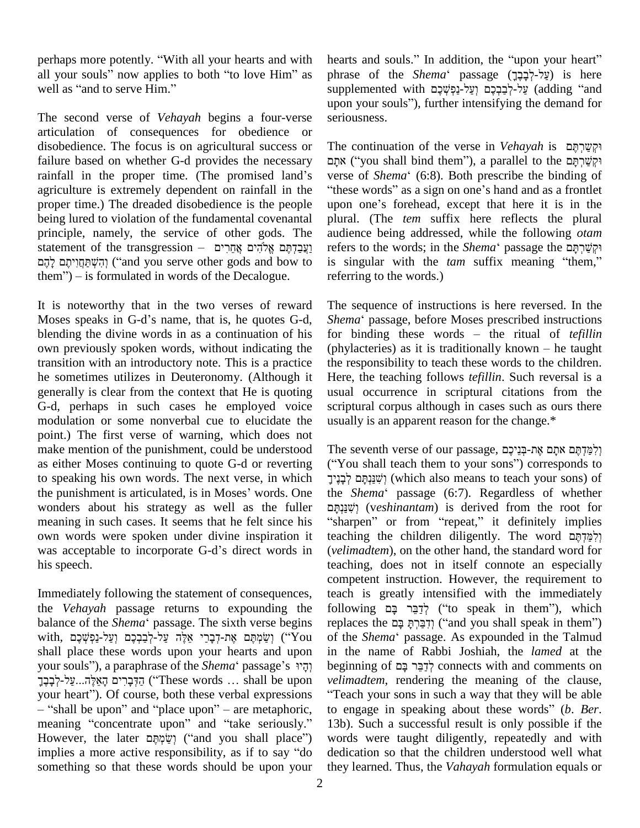perhaps more potently. "With all your hearts and with hearts all your souls" now applies to both "to love Him" as well as "and to serve Him" perhaps more potently. "With all you<br>all your souls" now applies to both<br>well as "and to serve Him."

The second verse of *Vehayah* begins a four-verse articulation of consequences for obedience or disobedience. The focus is on agricultural success or failure based on whether G-d provides the necessary disobedience. The focus is on agricultural success or<br>Failure based on whether G-d provides the necessary<br>rainfall in the proper time. (The promised land's vers agriculture is extremely dependent on rainfall in the proper time.) The dreaded disobedience is the people upon one's forehead, except that here it is in the being lured to violation of the fundamental covenantal pl<br>principle, namely, the service of other gods. The au<br>getting principle principle principles in the transgression – y principle, namely, the service of other gods. The audie ciple, namely, the service of other gods. The audienc<br>ment of the transgression – וַעֲבַדְתֶּם אֱלֹהִים אֲחֵרִים<br>וַיְהִשְׁתַּחֲוִיתֶם ('and you serve other gods and bow to is sing נְעֲבַדְתֶּם אֱלֹהִים אֲחֵרִים – statement of the transgression<br>הִשְׁתַּחֲוִיתֶם לְהֶם (''and you serve other gods and bow to them'') – is formulated in words of the Decalogue.

It is noteworthy that in the two verses of reward The se It is noteworthy that in the two verses of reward T<br>Moses speaks in G-d's name, that is, he quotes G-d, S blending the divine words in as a continuation of his for binding these words  $-$  the ritual of *tefillin* own previously spoken words, without indicating the (phylacteries) as it is traditionally known – he taught transition with an introductory note. This is a practice he sometimes utilizes in Deuteronomy. (Although it generally is clear from the context that He is quoting G-d, perhaps in such cases he employed voice modulation or some nonverbal cue to elucidate the point.) The first verse of warning, which does not make mention of the punishment, could be understood as either Moses continuing to quote G-d or reverting ("You<br>to speaking his own words. The next verse, in which  $\frac{1}{2}$ ?<br>the punishment is articulated, is in Moses' words. One the S. to speaking his own words. The next verse, in which wonders about his strategy as well as the fuller meaning in such cases. It seems that he felt since his "sharp<br>own words were spoken under divine inspiration it teachis<br>was acceptable to incorporate G-d's direct words in (velim own words were spoken under divine inspiration it his speech.

Immediately following the statement of consequences, the *Vehayah* passage returns to expounding the Immediately following the statement of consequences, teachine *Vehayah* passage returns to expounding the follo<br>balance of the *Shema*<sup>\*</sup> passage. The sixth verse begins replace the *Vehayah* passage returns to expounding the follow<br>balance of the *Shema*<sup>c</sup> passage. The sixth verse begins replac<br>with, יַשֲׂמְחֻּם אֶת-דְּבָרַי אֵלֶּה עַל-לְבַּבְבָּם וְעַל-נַקָּשֶׁבָּם ('You of the shall place these words upon your hearts and upon with, יְשֵׂמְתֶּם אֶת-דְּבָרֵי אֵלֶּה עַל-לְּבַבְבֶם וְעַל-נַמְשָׁבֶם ("You of the paraphrase words upon your hearts and upon in your souls"), a paraphrase of the *Shema*<sup>4</sup> passage's יְהָיוּ be shall place these words upon your hearts and upon in the your souls"), a paraphrase of the *Shema*' passage's הָדֶ<br>יְהָדֶּבְרִים הָאֵלֶּה...עֲל-לְבָבֶךְ your souls"), a paraphrase of the *Shema*' passage's הָיוּ begi<br>הַדְּבָרִים הָאֵלֶה...עֲל-לְבָבֶךְ ("These words ... shall be upon *velin*your heart"). Of course, both these verbal expressions "Tea ָהַדְּבָרִים הָאֵלֶּה...עַל-לְבָו ("These words ... shall be upon ver heart"). Of course, both these verbal expressions "<br>"shall be upon" and "place upon" – are metaphoric, to your heart"). Of course, both these verbal expressions "Tea-<br>
— "shall be upon" and "place upon" – are metaphoric, to er meaning "concentrate upon" and "take seriously." 13b). — "shall be upon" and "place upon" – are metaphoric, to meaning "concentrate upon" and "take seriously." 13<br>However, the later יָשְׂמְתָּם ("and you shall place") wo meaning "concentrate upon" and "take seriously." 13b).<br>However, the later method ("and you shall place") words<br>implies a more active responsibility, as if to say "do dedica something so that these words should be upon your

hearts and souls." In addition, the "upon your heart" phrase of the *Shema*' passage (עֲל-לְבָבֶךְ) is here hearts and souls." In addition, the "upon your heart"<br>phrase of the *Shema*' passage (עֲל-לְבָבֶר (עֲל-לְבָבָה (adding 'and supplemented with "פֶל-לְבַבְרָם (adding 'and phrase of the *Shema*ʿ passage (עֲלִ-לְבָבֶךָ) is here<br>supplemented with עֲל-לְבַבְבָם וְעַל-נַפְשְׁבֶם (adding "and<br>upon your souls"), further intensifying the demand for seriousness.

The continuation of the verse in *Vehayah* is וקשרתם continuation of the verse in *Vehayah* is וּקִשַּׁרְתָּם<br>("you shall bind them"), a parallel to the יִקְשַׁרְתָּם Fhe continuation of the verse in *Vehayah* is וּקְשַׁרְתֶּם<br>וּקְשַׁרְתָּם ("you shall bind them"), a parallel to the וּקְשַׁרְתָּם<br>verse of *Shema*' (6:8). Both prescribe the binding of אָתָא ("you shall bind them"), a parallel to the יִקְשַׁרְתָּם sign on one shand and as a frontlet the binding of these words" as a sign on one's hand and as a frontlet verse of *Shema* (6:8). Both prescribe the binding of "these words" as a sign on one's hand and as a frontlet upon one's forehead, except that here it is in the plural. (The *tem* suffix here reflects the plural audience being addressed, while the following *otam* refers to the words; in the *Shema*<sup>c</sup> passage the רִקְשֵׁרְתָּם audience being addressed, while the following *otam*<br>refers to the words; in the *Shema*<sup>c</sup> passage the *קַטֲרָתָּם*<br>is singular with the *tam* suffix meaning "them," referring to the words.)

The sequence of instructions is here reversed. In the The sequence of instructions is here reversed. In the *Shema*<sup>\*</sup> passage, before Moses prescribed instructions The sequence of instructions is here reversed. In the *Shema*<sup>4</sup> passage, before Moses prescribed instructions for binding these words – the ritual of *tefillin* Shema<sup>c</sup> passage, before Moses prescribed instructions the responsibility to teach these words to the children. Here, the teaching follows *tefillin*. Such reversal is a usual occurrence in scriptural citations from the scriptural corpus although in cases such as ours there usually is an apparent reason for the change.\*

usually is an apparent reason for the change.\*<br>The seventh verse of our passage, יִלְמֵּדְתֶּם אתָם אֶת-בְּנֵיכֶם  $\blacksquare$ <br><br/>Seventh verse of our passage, וְלִמַּדְתָּם אתָם אֶת-בְּנֵיכֶם (''You shall teach them to your sons'') corresponds to רְלַמֲדָתֶּם אתָם אֶת-בְּנֵיכֶם, The seventh verse of our passage, וְלִמַּדְתֶּם אתָם אֶת-בְּנֵיכֶם<br>שׁנַּנְתָּם (which also means to teach your sons) of (בְּנֵיךָ (which also means to teach your sons) of ("You shall teach them to your sons") corresponds to ישׁנַחִם לְבְנֵיך (which also means to teach your sons) of the *Shema* passage (6:7). Regardless of whether he *Shema*' passage (6:7). Regardless of whether<br>יְשִׁנַּנְתָּ (v*eshinantam*) is derived from the root for sharpen" or from "repeat," it definitely implies יְשִׁנַּגְתָּם (*veshinantam*) is derived from the root for "sharpen" or from "repeat," it definitely implies<br>teaching the children diligently. The word וְלְמֵּדְתֶּם (*velimadtem*), on the other hand, the standard word for teaching, does not in itself connote an especially competent instruction. However, the requirement to teach is greatly intensified with the immediately competent instruction. However, the requirement to<br>teach is greatly intensified with the immediately<br>following לְדַּבֵּר בָּם בָּם (''to speak in them''), which teach is greatly intensified with the immediately<br>following לְדַבֵּר בָּם (''to speak in them''), which<br>replaces the יְדִבַּרְהָּ בָּם (''and you shall speak in them'') replaces the *הֲבָּרָתּ* בָּם ("and you shall speak in them") in the name of Rabbi Joshiah, the *lamed* at the of the *Shema* 'passage. As expounded in the Talmud  $b$ eginning of לְדָבֵּר בָּם connects with and comments on Teach your sons in such a way that they will be able *velimadtem*, rendering the meaning of the clause, "Teach your sons in such a way that they will be able to engage in speaking about these words" (*b. Ber.*) 13b). Such a successful result is only possible if the words were taught diligently, repeatedly and with dedication so that the children understood well what they learned. Thus, the *Vahayah* formulation equals or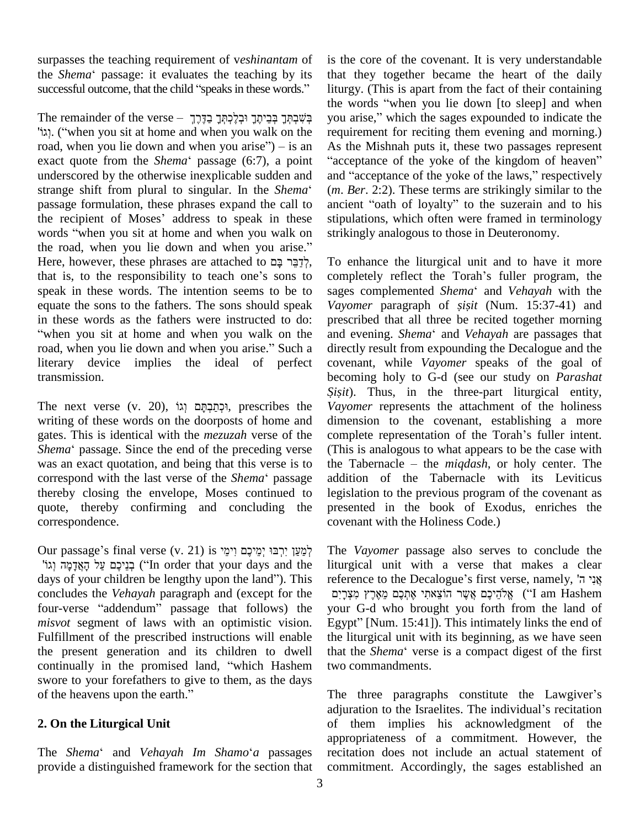surpasses the teaching requirement of v*eshinantam* of surpasses the teaching requirement of veshinantam of is the *Shema*<sup>\*</sup> passage: it evaluates the teaching by its that the *Shema* 'passage: it evaluates the teaching by its successful outcome, that the child "speaks in these words."

ihe w<br>a premainder of the verse – בְּעֻּבְרָתֶךְ בְּבֵיתֶךָ וּבְלָכְתְּךָ בַדֶּרֶךְ<br>vou sit at home and when you walk on the requi The remainder of the verse – בְּשָׁבְתְּךָ בְּבֵיתֶךָ וּבְלָכְתְּךָ בַדָּרֶךְ – נָעֲל<br>יְגוֹן, ("when you sit at home and when you walk on the require road, when you lie down and when you arise") – is an "יְגוֹן. ("when you sit at home and when you walk on the record, when you lie down and when you arise.) – is an Assexact quote from the *Shema*<sup>e</sup> passage (6:7), a point "a underscored by the otherwise inexplicable sudden and exact quote from the *Shema*<sup>\*</sup> passage (6:7), a point "acceptance of the yoke of the kingdom of heaven" underscored by the otherwise inexplicable sudden and and "acceptance of the yoke of the laws," respectively strange s passage formulation, these phrases expand the call to strange shift from plural to singular. In the *Shema'* (*m. E* passage formulation, these phrases expand the call to ancie the recipient of Moses' address to speak in these stipu. passage formulation, these phrases expand the call to ancient<br>the recipient of Moses' address to speak in these stipula<br>words "when you sit at home and when you walk on strikin the recipient of Moses' address to speak in these stipuly words "when you sit at home and when you walk on striking the road, when you lie down and when you arise." words "when you sit at home and when you walk on the road, when you lie down and when you arise."<br>Here, however, these phrases are attached to אֲלְכֵּר בַּם , that is, to the responsibility to teach one's sons to speak in these words. The intention seems to be to sages complemented Shema' and Vehayah with the equate the sons to the fathers. The sons should speak Vayon<br>in these words as the fathers were instructed to do: prescr "when you sit at home and when you walk on the and evening. Shema" and Vehayah are passages that in these words as the fathers were instructed to do:<br>"when you sit at home and when you walk on the<br>road, when you lie down and when you arise." Such a literary device implies the ideal of perfect transmission.

The next verse (v. 20), וִּכְתַּבְתָּם וְגוֹ $\mu$ , prescribes the writing of these words on the doorposts of home and dimen gates. This is identical with the *mezuzah* verse of the compl<br>Shema' passage. Since the end of the preceding verse (This gates. This is identical with the *mezuzah* verse of the was an exact quotation, and being that this verse is to the Tabernacle – the *migdash*, or holy center. The Shema<sup>\*</sup> passage. Since the end of the preceding verse was an exact quotation, and being that this verse is to correspond with the last verse of the *Shema*<sup>\*</sup> passage thereby closing the envelope, Moses continued to quote, thereby confirming and concluding the correspondence.

ov<br>Our passage's final verse (v. 21) is יִמְיָכָם יִימֵי The לְמַעֲן יִרְבּוּ יְמֵיכָם יִימֵי is לְמַעַן יִרְבּוּ 'art') בְנֵיכֶם עַל הָאֲדָמַה וְגוֹ ("In order that your days and the Our passage's final verse (v. 21) לְמַעַן יִרְבּוּ יְמֵיכֶם וִימֵי The לְמַעַן יִרְבּוּ יְמֵיכֶם וֹיָמֵי ('In order that your days and the litur days of your children be lengthy upon the land''). This refer concludes the *Vehayah* paragraph and (except for the days of your children be lengthy upon the land"). This referenconcludes the *Vehayah* paragraph and (except for the  $\frac{275}{20}$  four-verse "addendum" passage that follows) the your *misvot* segment of laws with an optimistic vision. Egypt" [Num. 15:41]). This intimately links the end of Fulfillment of the prescribed instructions will enable the present generation and its children to dwell Fulfillment of the prescribed instructions will enable the liturgic<br>the present generation and its children to dwell that the *She*<br>continually in the promised land, "which Hashem two comma swore to your forefathers to give to them, as the days continually in the promised land, "which Hashem swore to your forefathers to give to them, as the days of the heavens upon the earth."

#### **2. On the Liturgical Unit**

The *Shema*<sup>ë</sup> and *Vehayah Im Shamo*ë*<sup>a</sup>* passages provide a distinguished framework for the section that

the words "when you lie down [to sleep] and when<br>you arise," which the sages expounded to indicate the<br>you arise," which the sages expounded to indicate the is the core of the covenant. It is very understandable that they together became the heart of the daily liturgy. (This is apart from the fact of their containing that they together became the heart of the daily<br>liturgy. (This is apart from the fact of their containing<br>the words "when you lie down [to sleep] and when liturgy. (This is apart from the fact of their containing<br>the words "when you lie down [to sleep] and when<br>you arise," which the sages expounded to indicate the requirement for reciting them evening and morning.)<br>As the Mishnah puts it, these two passages represent<br>"acceptance of the yoke of the kingdom of heaven" As the Mishnah puts it, these two passages represent "acceptance of the yoke of the kingdom of heaven" and "acceptance of the yoke of the laws," respectively (*m*. *Ber*. 2:2). These terms are strikingly similar to the ancient "oath of loyalty" to the suzerain and to his stipulations, which often were framed in terminology strikingly analogous to those in Deuteronomy.

To enhance the liturgical unit and to have it more To enhance the liturgical unit and to have it more<br>completely reflect the Torah's fuller program, the To enhance the liturgical unit and to have it more<br>completely reflect the Torah's fuller program, the<br>sages complemented *Shema*<sup>\*</sup> and *Vehayah* with the completely reflect the Torah's fuller program, the prescribed that all three be recited together morning Vayomer paragraph of *sisit* (Num. 15:37-41) and directly result from expounding the Decalogue and the covenant, while *Vayomer* speaks of the goal of becoming holy to G-d (see our study on *Parashat Sisit*). Thus, in the three-part liturgical entity, *Vayomer* represents the attachment of the holiness dimension to the covenant, establishing a more Vayomer represents the attachment of the holiness<br>dimension to the covenant, establishing a more<br>complete representation of the Torah's fuller intent. (This is analogous to what appears to be the case with complete representation of the *Torah's* fuller intent.<br>(This is analogous to what appears to be the case with<br>the *Tabernacle – the miqdash*, or holy center. The addition of the Tabernacle with its Leviticus legislation to the previous program of the covenant as presented in the book of Exodus, enriches the covenant with the Holiness Code.)

The *Vayomer* passage also serves to conclude the ʤliturgical unit with a verse that makes a clear rhe *Vayomer* passage also serves to conclude the liturgical unit with a verse that makes a clear reference to the Decalogue's first verse, namely, אֲנָי ה' reference to the Decalogue's first verse, namely, אֲנִי $\frac{1}{2}$  אֲלֹהֵיכֶם אֲנִימַעֲרָיִם (''I am Hashem your G-d who brought you forth from the land of אֱלֹהֵיכֶם אֲשֶר הוֹצֵאתִי אֶתְכֶם מֵאֶרֶץ מִצְרָיִם (''I am Hashem').<br>Your G-d who brought you forth from the land of<br>Egypt'' [Num. 15:41]). This intimately links the end of the liturgical unit with its beginning, as we have seen Egypt" [Num. 15:41]). This intimately links the end of the liturgical unit with its beginning, as we have seen that the *Shema*<sup>\*</sup> verse is a compact digest of the first two commandments.

two commandments.<br>The three paragraphs constitute the Lawgiver's The three paragraphs constitute the Lawgiver's<br>adjuration to the Israelites. The individual's recitation of them implies his acknowledgment of the appropriateness of a commitment. However, the recitation does not include an actual statement of commitment. Accordingly, the sages established an